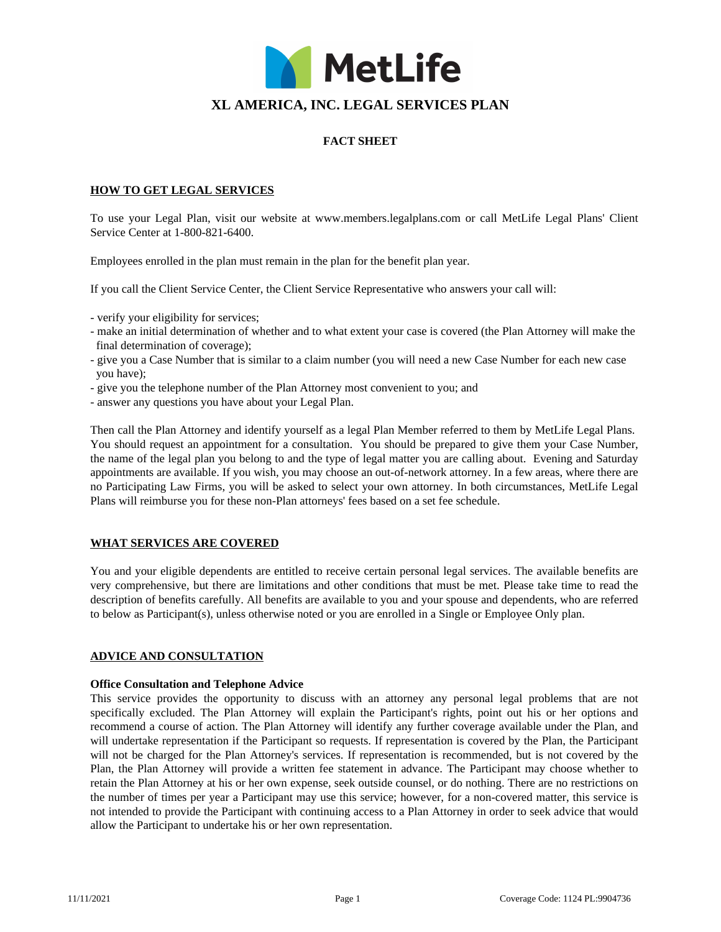

# **XL AMERICA, INC. LEGAL SERVICES PLAN**

# **FACT SHEET**

### **HOW TO GET LEGAL SERVICES**

To use your Legal Plan, visit our website at www.members.legalplans.com or call MetLife Legal Plans' Client Service Center at 1-800-821-6400.

Employees enrolled in the plan must remain in the plan for the benefit plan year.

If you call the Client Service Center, the Client Service Representative who answers your call will:

- verify your eligibility for services;
- make an initial determination of whether and to what extent your case is covered (the Plan Attorney will make the final determination of coverage);
- give you a Case Number that is similar to a claim number (you will need a new Case Number for each new case you have);
- give you the telephone number of the Plan Attorney most convenient to you; and
- answer any questions you have about your Legal Plan.

Then call the Plan Attorney and identify yourself as a legal Plan Member referred to them by MetLife Legal Plans. You should request an appointment for a consultation. You should be prepared to give them your Case Number, the name of the legal plan you belong to and the type of legal matter you are calling about. Evening and Saturday appointments are available. If you wish, you may choose an out-of-network attorney. In a few areas, where there are no Participating Law Firms, you will be asked to select your own attorney. In both circumstances, MetLife Legal Plans will reimburse you for these non-Plan attorneys' fees based on a set fee schedule.

### **WHAT SERVICES ARE COVERED**

You and your eligible dependents are entitled to receive certain personal legal services. The available benefits are very comprehensive, but there are limitations and other conditions that must be met. Please take time to read the description of benefits carefully. All benefits are available to you and your spouse and dependents, who are referred to below as Participant(s), unless otherwise noted or you are enrolled in a Single or Employee Only plan.

#### **ADVICE AND CONSULTATION**

#### **Office Consultation and Telephone Advice**

This service provides the opportunity to discuss with an attorney any personal legal problems that are not specifically excluded. The Plan Attorney will explain the Participant's rights, point out his or her options and recommend a course of action. The Plan Attorney will identify any further coverage available under the Plan, and will undertake representation if the Participant so requests. If representation is covered by the Plan, the Participant will not be charged for the Plan Attorney's services. If representation is recommended, but is not covered by the Plan, the Plan Attorney will provide a written fee statement in advance. The Participant may choose whether to retain the Plan Attorney at his or her own expense, seek outside counsel, or do nothing. There are no restrictions on the number of times per year a Participant may use this service; however, for a non-covered matter, this service is not intended to provide the Participant with continuing access to a Plan Attorney in order to seek advice that would allow the Participant to undertake his or her own representation.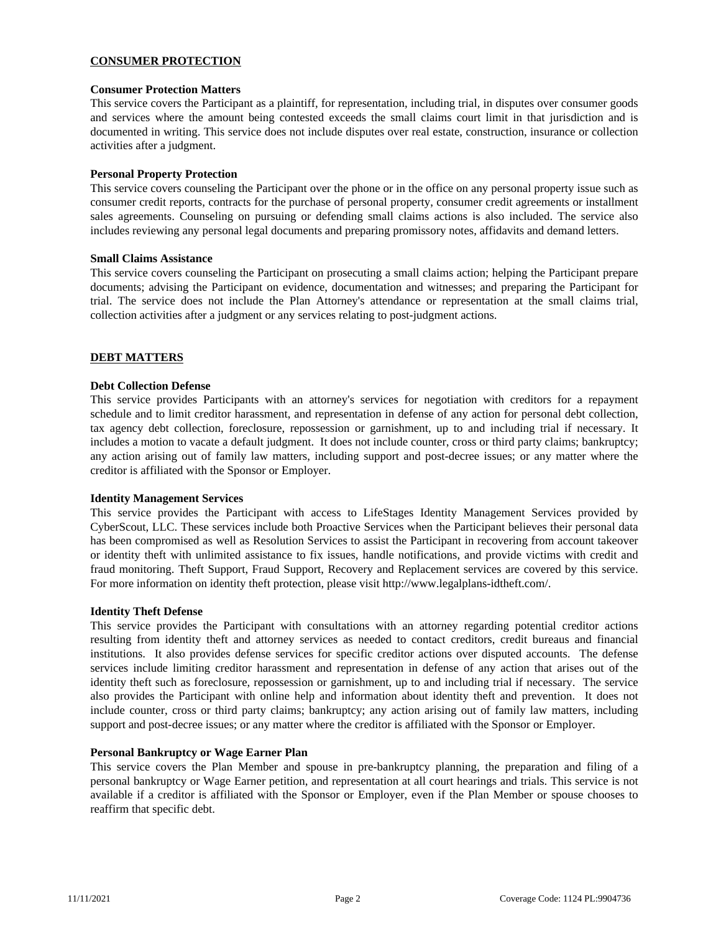# **CONSUMER PROTECTION**

### **Consumer Protection Matters**

This service covers the Participant as a plaintiff, for representation, including trial, in disputes over consumer goods and services where the amount being contested exceeds the small claims court limit in that jurisdiction and is documented in writing. This service does not include disputes over real estate, construction, insurance or collection activities after a judgment.

### **Personal Property Protection**

This service covers counseling the Participant over the phone or in the office on any personal property issue such as consumer credit reports, contracts for the purchase of personal property, consumer credit agreements or installment sales agreements. Counseling on pursuing or defending small claims actions is also included. The service also includes reviewing any personal legal documents and preparing promissory notes, affidavits and demand letters.

#### **Small Claims Assistance**

This service covers counseling the Participant on prosecuting a small claims action; helping the Participant prepare documents; advising the Participant on evidence, documentation and witnesses; and preparing the Participant for trial. The service does not include the Plan Attorney's attendance or representation at the small claims trial, collection activities after a judgment or any services relating to post-judgment actions.

### **DEBT MATTERS**

#### **Debt Collection Defense**

This service provides Participants with an attorney's services for negotiation with creditors for a repayment schedule and to limit creditor harassment, and representation in defense of any action for personal debt collection, tax agency debt collection, foreclosure, repossession or garnishment, up to and including trial if necessary. It includes a motion to vacate a default judgment. It does not include counter, cross or third party claims; bankruptcy; any action arising out of family law matters, including support and post-decree issues; or any matter where the creditor is affiliated with the Sponsor or Employer.

#### **Identity Management Services**

This service provides the Participant with access to LifeStages Identity Management Services provided by CyberScout, LLC. These services include both Proactive Services when the Participant believes their personal data has been compromised as well as Resolution Services to assist the Participant in recovering from account takeover or identity theft with unlimited assistance to fix issues, handle notifications, and provide victims with credit and fraud monitoring. Theft Support, Fraud Support, Recovery and Replacement services are covered by this service. For more information on identity theft protection, please visit http://www.legalplans-idtheft.com/.

#### **Identity Theft Defense**

This service provides the Participant with consultations with an attorney regarding potential creditor actions resulting from identity theft and attorney services as needed to contact creditors, credit bureaus and financial institutions. It also provides defense services for specific creditor actions over disputed accounts. The defense services include limiting creditor harassment and representation in defense of any action that arises out of the identity theft such as foreclosure, repossession or garnishment, up to and including trial if necessary. The service also provides the Participant with online help and information about identity theft and prevention. It does not include counter, cross or third party claims; bankruptcy; any action arising out of family law matters, including support and post-decree issues; or any matter where the creditor is affiliated with the Sponsor or Employer.

#### **Personal Bankruptcy or Wage Earner Plan**

This service covers the Plan Member and spouse in pre-bankruptcy planning, the preparation and filing of a personal bankruptcy or Wage Earner petition, and representation at all court hearings and trials. This service is not available if a creditor is affiliated with the Sponsor or Employer, even if the Plan Member or spouse chooses to reaffirm that specific debt.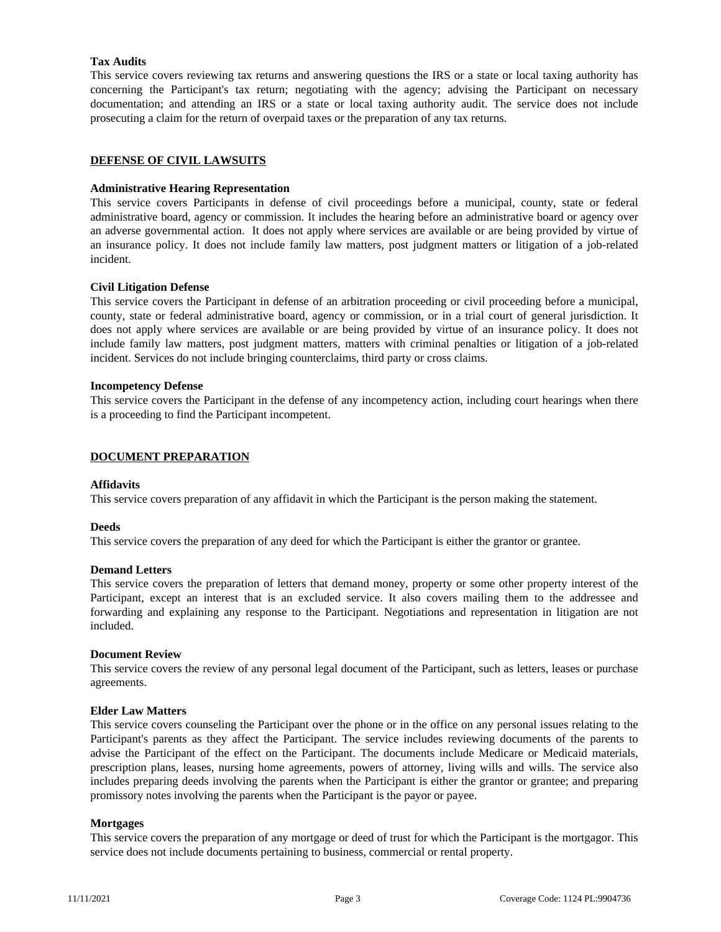# **Tax Audits**

This service covers reviewing tax returns and answering questions the IRS or a state or local taxing authority has concerning the Participant's tax return; negotiating with the agency; advising the Participant on necessary documentation; and attending an IRS or a state or local taxing authority audit. The service does not include prosecuting a claim for the return of overpaid taxes or the preparation of any tax returns.

### **DEFENSE OF CIVIL LAWSUITS**

### **Administrative Hearing Representation**

This service covers Participants in defense of civil proceedings before a municipal, county, state or federal administrative board, agency or commission. It includes the hearing before an administrative board or agency over an adverse governmental action. It does not apply where services are available or are being provided by virtue of an insurance policy. It does not include family law matters, post judgment matters or litigation of a job-related incident.

### **Civil Litigation Defense**

This service covers the Participant in defense of an arbitration proceeding or civil proceeding before a municipal, county, state or federal administrative board, agency or commission, or in a trial court of general jurisdiction. It does not apply where services are available or are being provided by virtue of an insurance policy. It does not include family law matters, post judgment matters, matters with criminal penalties or litigation of a job-related incident. Services do not include bringing counterclaims, third party or cross claims.

### **Incompetency Defense**

This service covers the Participant in the defense of any incompetency action, including court hearings when there is a proceeding to find the Participant incompetent.

### **DOCUMENT PREPARATION**

### **Affidavits**

This service covers preparation of any affidavit in which the Participant is the person making the statement.

#### **Deeds**

This service covers the preparation of any deed for which the Participant is either the grantor or grantee.

#### **Demand Letters**

This service covers the preparation of letters that demand money, property or some other property interest of the Participant, except an interest that is an excluded service. It also covers mailing them to the addressee and forwarding and explaining any response to the Participant. Negotiations and representation in litigation are not included.

#### **Document Review**

This service covers the review of any personal legal document of the Participant, such as letters, leases or purchase agreements.

#### **Elder Law Matters**

This service covers counseling the Participant over the phone or in the office on any personal issues relating to the Participant's parents as they affect the Participant. The service includes reviewing documents of the parents to advise the Participant of the effect on the Participant. The documents include Medicare or Medicaid materials, prescription plans, leases, nursing home agreements, powers of attorney, living wills and wills. The service also includes preparing deeds involving the parents when the Participant is either the grantor or grantee; and preparing promissory notes involving the parents when the Participant is the payor or payee.

#### **Mortgages**

This service covers the preparation of any mortgage or deed of trust for which the Participant is the mortgagor. This service does not include documents pertaining to business, commercial or rental property.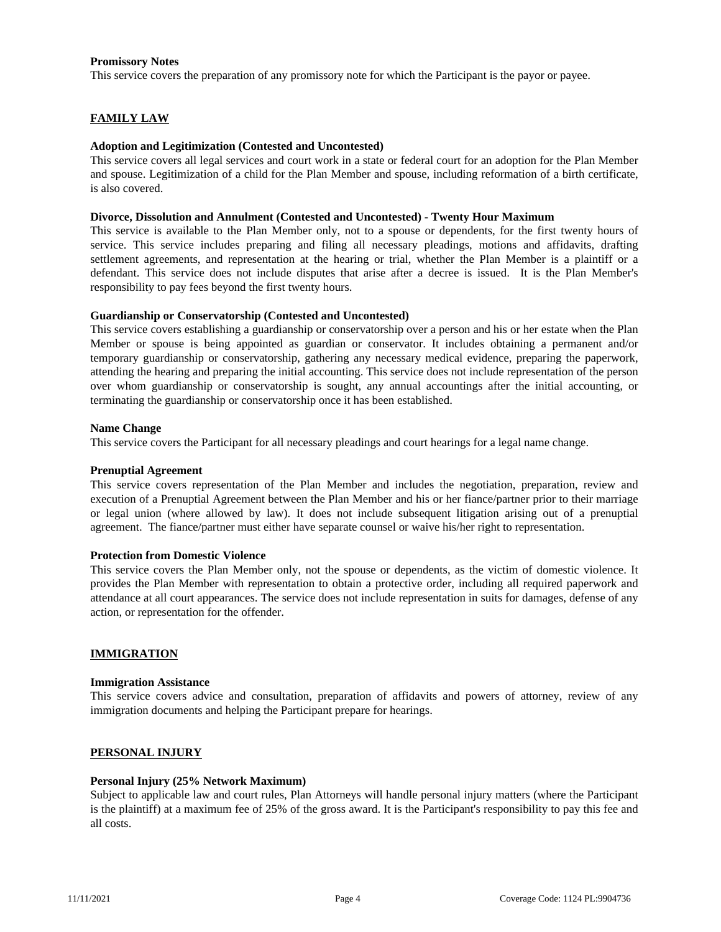### **Promissory Notes**

This service covers the preparation of any promissory note for which the Participant is the payor or payee.

### **FAMILY LAW**

### **Adoption and Legitimization (Contested and Uncontested)**

This service covers all legal services and court work in a state or federal court for an adoption for the Plan Member and spouse. Legitimization of a child for the Plan Member and spouse, including reformation of a birth certificate, is also covered.

#### **Divorce, Dissolution and Annulment (Contested and Uncontested) - Twenty Hour Maximum**

This service is available to the Plan Member only, not to a spouse or dependents, for the first twenty hours of service. This service includes preparing and filing all necessary pleadings, motions and affidavits, drafting settlement agreements, and representation at the hearing or trial, whether the Plan Member is a plaintiff or a defendant. This service does not include disputes that arise after a decree is issued. It is the Plan Member's responsibility to pay fees beyond the first twenty hours.

### **Guardianship or Conservatorship (Contested and Uncontested)**

This service covers establishing a guardianship or conservatorship over a person and his or her estate when the Plan Member or spouse is being appointed as guardian or conservator. It includes obtaining a permanent and/or temporary guardianship or conservatorship, gathering any necessary medical evidence, preparing the paperwork, attending the hearing and preparing the initial accounting. This service does not include representation of the person over whom guardianship or conservatorship is sought, any annual accountings after the initial accounting, or terminating the guardianship or conservatorship once it has been established.

#### **Name Change**

This service covers the Participant for all necessary pleadings and court hearings for a legal name change.

#### **Prenuptial Agreement**

This service covers representation of the Plan Member and includes the negotiation, preparation, review and execution of a Prenuptial Agreement between the Plan Member and his or her fiance/partner prior to their marriage or legal union (where allowed by law). It does not include subsequent litigation arising out of a prenuptial agreement. The fiance/partner must either have separate counsel or waive his/her right to representation.

#### **Protection from Domestic Violence**

This service covers the Plan Member only, not the spouse or dependents, as the victim of domestic violence. It provides the Plan Member with representation to obtain a protective order, including all required paperwork and attendance at all court appearances. The service does not include representation in suits for damages, defense of any action, or representation for the offender.

### **IMMIGRATION**

#### **Immigration Assistance**

This service covers advice and consultation, preparation of affidavits and powers of attorney, review of any immigration documents and helping the Participant prepare for hearings.

#### **PERSONAL INJURY**

#### **Personal Injury (25% Network Maximum)**

Subject to applicable law and court rules, Plan Attorneys will handle personal injury matters (where the Participant is the plaintiff) at a maximum fee of 25% of the gross award. It is the Participant's responsibility to pay this fee and all costs.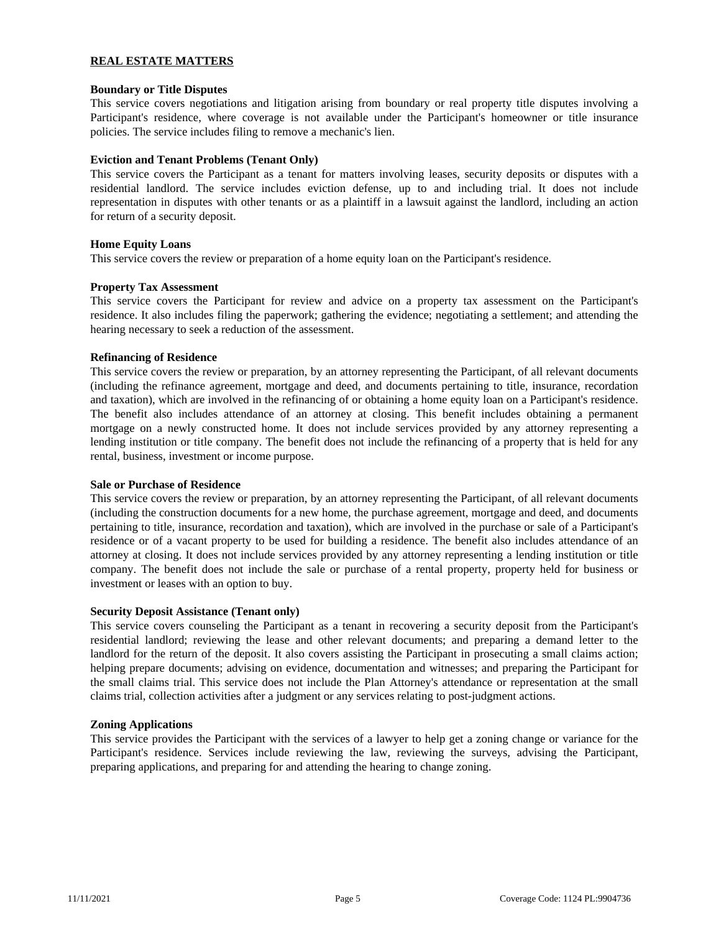# **REAL ESTATE MATTERS**

### **Boundary or Title Disputes**

This service covers negotiations and litigation arising from boundary or real property title disputes involving a Participant's residence, where coverage is not available under the Participant's homeowner or title insurance policies. The service includes filing to remove a mechanic's lien.

### **Eviction and Tenant Problems (Tenant Only)**

This service covers the Participant as a tenant for matters involving leases, security deposits or disputes with a residential landlord. The service includes eviction defense, up to and including trial. It does not include representation in disputes with other tenants or as a plaintiff in a lawsuit against the landlord, including an action for return of a security deposit.

### **Home Equity Loans**

This service covers the review or preparation of a home equity loan on the Participant's residence.

### **Property Tax Assessment**

This service covers the Participant for review and advice on a property tax assessment on the Participant's residence. It also includes filing the paperwork; gathering the evidence; negotiating a settlement; and attending the hearing necessary to seek a reduction of the assessment.

### **Refinancing of Residence**

This service covers the review or preparation, by an attorney representing the Participant, of all relevant documents (including the refinance agreement, mortgage and deed, and documents pertaining to title, insurance, recordation and taxation), which are involved in the refinancing of or obtaining a home equity loan on a Participant's residence. The benefit also includes attendance of an attorney at closing. This benefit includes obtaining a permanent mortgage on a newly constructed home. It does not include services provided by any attorney representing a lending institution or title company. The benefit does not include the refinancing of a property that is held for any rental, business, investment or income purpose.

#### **Sale or Purchase of Residence**

This service covers the review or preparation, by an attorney representing the Participant, of all relevant documents (including the construction documents for a new home, the purchase agreement, mortgage and deed, and documents pertaining to title, insurance, recordation and taxation), which are involved in the purchase or sale of a Participant's residence or of a vacant property to be used for building a residence. The benefit also includes attendance of an attorney at closing. It does not include services provided by any attorney representing a lending institution or title company. The benefit does not include the sale or purchase of a rental property, property held for business or investment or leases with an option to buy.

#### **Security Deposit Assistance (Tenant only)**

This service covers counseling the Participant as a tenant in recovering a security deposit from the Participant's residential landlord; reviewing the lease and other relevant documents; and preparing a demand letter to the landlord for the return of the deposit. It also covers assisting the Participant in prosecuting a small claims action; helping prepare documents; advising on evidence, documentation and witnesses; and preparing the Participant for the small claims trial. This service does not include the Plan Attorney's attendance or representation at the small claims trial, collection activities after a judgment or any services relating to post-judgment actions.

### **Zoning Applications**

This service provides the Participant with the services of a lawyer to help get a zoning change or variance for the Participant's residence. Services include reviewing the law, reviewing the surveys, advising the Participant, preparing applications, and preparing for and attending the hearing to change zoning.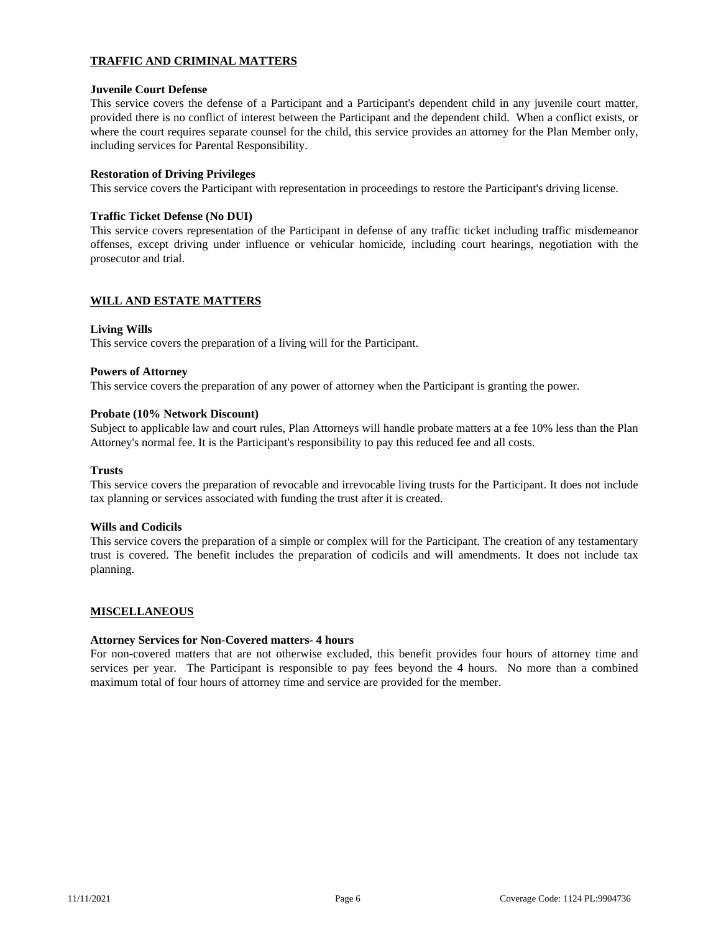# **TRAFFIC AND CRIMINAL MATTERS**

### **Juvenile Court Defense**

This service covers the defense of a Participant and a Participant's dependent child in any juvenile court matter, provided there is no conflict of interest between the Participant and the dependent child. When a conflict exists, or where the court requires separate counsel for the child, this service provides an attorney for the Plan Member only, including services for Parental Responsibility.

### **Restoration of Driving Privileges**

This service covers the Participant with representation in proceedings to restore the Participant's driving license.

### **Traffic Ticket Defense (No DUI)**

This service covers representation of the Participant in defense of any traffic ticket including traffic misdemeanor offenses, except driving under influence or vehicular homicide, including court hearings, negotiation with the prosecutor and trial.

### **WILL AND ESTATE MATTERS**

### **Living Wills**

This service covers the preparation of a living will for the Participant.

#### **Powers of Attorney**

This service covers the preparation of any power of attorney when the Participant is granting the power.

### **Probate (10% Network Discount)**

Subject to applicable law and court rules, Plan Attorneys will handle probate matters at a fee 10% less than the Plan Attorney's normal fee. It is the Participant's responsibility to pay this reduced fee and all costs.

#### **Trusts**

This service covers the preparation of revocable and irrevocable living trusts for the Participant. It does not include tax planning or services associated with funding the trust after it is created.

#### **Wills and Codicils**

This service covers the preparation of a simple or complex will for the Participant. The creation of any testamentary trust is covered. The benefit includes the preparation of codicils and will amendments. It does not include tax planning.

# **MISCELLANEOUS**

#### **Attorney Services for Non-Covered matters- 4 hours**

For non-covered matters that are not otherwise excluded, this benefit provides four hours of attorney time and services per year. The Participant is responsible to pay fees beyond the 4 hours. No more than a combined maximum total of four hours of attorney time and service are provided for the member.